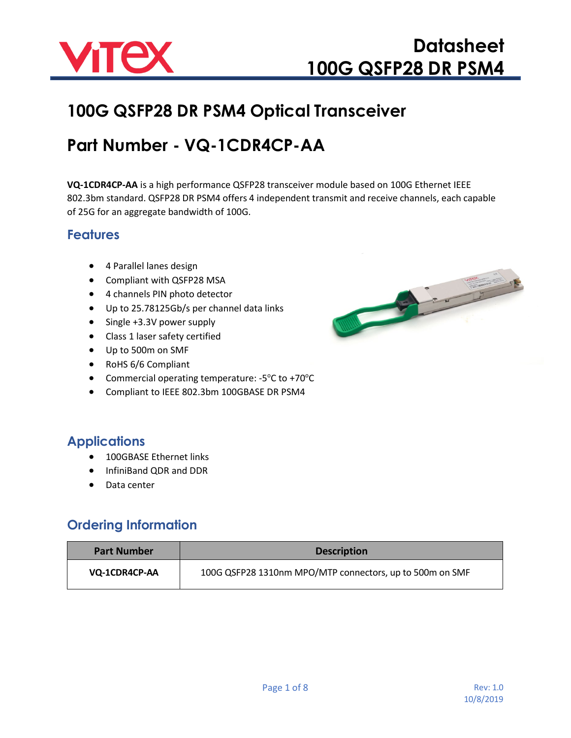

### **100G QSFP28 DR PSM4 Optical Transceiver**

### **Part Number - VQ-1CDR4CP-AA**

**VQ-1CDR4CP-AA** is a high performance QSFP28 transceiver module based on 100G Ethernet IEEE 802.3bm standard. QSFP28 DR PSM4 offers 4 independent transmit and receive channels, each capable of 25G for an aggregate bandwidth of 100G.

#### **Features**

- 4 Parallel lanes design
- Compliant with QSFP28 MSA
- 4 channels PIN photo detector
- Up to 25.78125Gb/s per channel data links
- Single +3.3V power supply
- Class 1 laser safety certified
- Up to 500m on SMF
- RoHS 6/6 Compliant
- Commercial operating temperature: -5°C to +70°C
- Compliant to IEEE 802.3bm 100GBASE DR PSM4

#### **Applications**

- 100GBASE Ethernet links
- InfiniBand QDR and DDR
- Data center

#### **Ordering Information**

| <b>Part Number</b> | <b>Description</b>                                       |
|--------------------|----------------------------------------------------------|
| VQ-1CDR4CP-AA      | 100G QSFP28 1310nm MPO/MTP connectors, up to 500m on SMF |

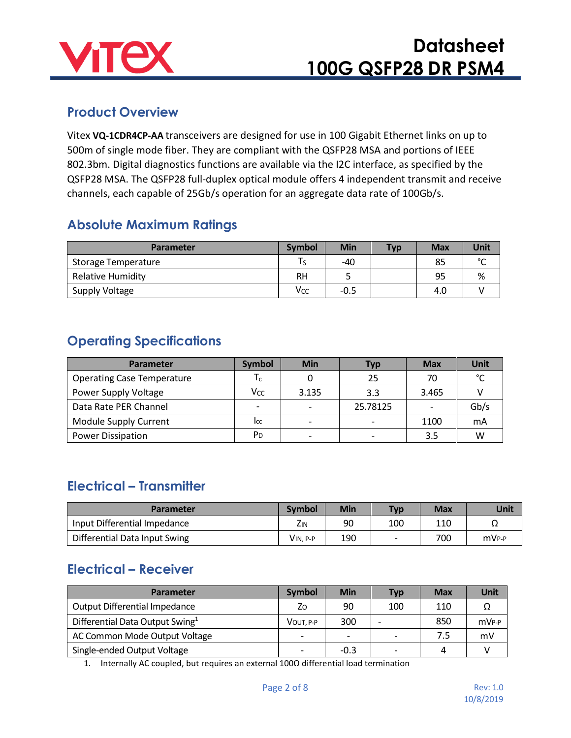

#### **Product Overview**

Vitex **VQ-1CDR4CP-AA** transceivers are designed for use in 100 Gigabit Ethernet links on up to 500m of single mode fiber. They are compliant with the QSFP28 MSA and portions of IEEE 802.3bm. Digital diagnostics functions are available via the I2C interface, as specified by the QSFP28 MSA. The QSFP28 full-duplex optical module offers 4 independent transmit and receive channels, each capable of 25Gb/s operation for an aggregate data rate of 100Gb/s.

#### **Absolute Maximum Ratings**

| <b>Parameter</b>         | <b>Symbol</b> | <b>Min</b> | <b>Typ</b> | <b>Max</b> | Unit   |
|--------------------------|---------------|------------|------------|------------|--------|
| Storage Temperature      |               | -40        |            | 85         | $\sim$ |
| <b>Relative Humidity</b> | RН            |            |            | 95         | %      |
| Supply Voltage           | Vcc           | $-0.5$     |            | 4.0        |        |

#### **Operating Specifications**

| <b>Parameter</b>                  | <b>Symbol</b>            | <b>Min</b>               | Тур      | <b>Max</b>               | Unit          |
|-----------------------------------|--------------------------|--------------------------|----------|--------------------------|---------------|
| <b>Operating Case Temperature</b> | $T_c$                    |                          | 25       | 70                       | $\mathcal{C}$ |
| Power Supply Voltage              | Vcc                      | 3.135                    | 3.3      | 3.465                    |               |
| Data Rate PER Channel             | $\overline{\phantom{0}}$ | $\overline{\phantom{0}}$ | 25.78125 | $\overline{\phantom{0}}$ | Gb/s          |
| <b>Module Supply Current</b>      | Icc                      | $\overline{\phantom{0}}$ |          | 1100                     | mA            |
| <b>Power Dissipation</b>          | P <sub>D</sub>           |                          |          | 3.5                      | W             |

#### **Electrical – Transmitter**

| <b>Parameter</b>              | <b>Symbol</b> | Min | <b>Typ</b>               | Max | Unit              |
|-------------------------------|---------------|-----|--------------------------|-----|-------------------|
| Input Differential Impedance  | Zın           | 90  | 100                      | 110 | ▵▵                |
| Differential Data Input Swing | VIN, P-P      | 190 | $\overline{\phantom{0}}$ | 700 | mV <sub>P-P</sub> |

#### **Electrical – Receiver**

| <b>Parameter</b>                            | <b>Symbol</b>            | <b>Min</b>               | <b>Typ</b>               | <b>Max</b> | Unit              |
|---------------------------------------------|--------------------------|--------------------------|--------------------------|------------|-------------------|
| <b>Output Differential Impedance</b>        | Ζo                       | 90                       | 100                      | 110        |                   |
| Differential Data Output Swing <sup>1</sup> | VOUT. P-P                | 300                      |                          | 850        | mV <sub>P-P</sub> |
| AC Common Mode Output Voltage               | $\overline{\phantom{0}}$ | $\overline{\phantom{0}}$ | $\overline{\phantom{0}}$ | 7.5        | mV                |
| Single-ended Output Voltage                 |                          | $-0.3$                   |                          | 4          |                   |

1. Internally AC coupled, but requires an external 100Ω differential load termination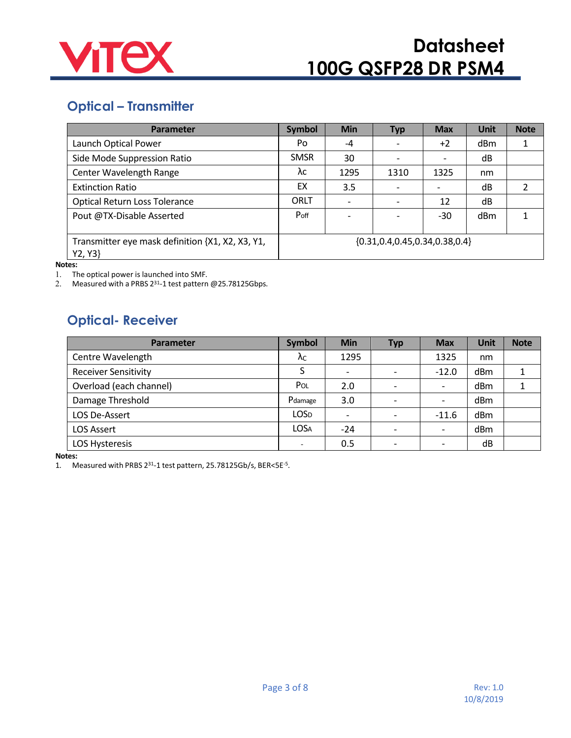

### **Optical – Transmitter**

| Parameter                                                   | <b>Symbol</b> | <b>Min</b>               | <b>Typ</b>                           | <b>Max</b>               | <b>Unit</b> | <b>Note</b> |
|-------------------------------------------------------------|---------------|--------------------------|--------------------------------------|--------------------------|-------------|-------------|
| Launch Optical Power                                        | Po            | -4                       |                                      | $+2$                     | dBm         |             |
| Side Mode Suppression Ratio                                 | <b>SMSR</b>   | 30                       |                                      | $\overline{\phantom{a}}$ | dB          |             |
| Center Wavelength Range                                     | λc            | 1295                     | 1310                                 | 1325                     | nm          |             |
| <b>Extinction Ratio</b>                                     | EX            | 3.5                      |                                      | $\overline{\phantom{a}}$ | dB          |             |
| <b>Optical Return Loss Tolerance</b>                        | ORLT          | $\overline{\phantom{a}}$ |                                      | 12                       | dB          |             |
| Pout @TX-Disable Asserted                                   | Poff          | $\overline{\phantom{a}}$ |                                      | -30                      | dBm         |             |
| Transmitter eye mask definition {X1, X2, X3, Y1,<br>Y2, Y3} |               |                          | ${0.31, 0.4, 0.45, 0.34, 0.38, 0.4}$ |                          |             |             |

**Notes:**

1. The optical power is launched into SMF.

2. Measured with a PRBS 231-1 test pattern @25.78125Gbps.

#### **Optical- Receiver**

| <b>Parameter</b>            | <b>Symbol</b>            | <b>Min</b>               | <b>Typ</b> | <b>Max</b>               | Unit | <b>Note</b> |
|-----------------------------|--------------------------|--------------------------|------------|--------------------------|------|-------------|
| Centre Wavelength           | Λc                       | 1295                     |            | 1325                     | nm   |             |
| <b>Receiver Sensitivity</b> |                          | $\overline{\phantom{a}}$ |            | $-12.0$                  | dBm  |             |
| Overload (each channel)     | Pol                      | 2.0                      |            | $\overline{\phantom{a}}$ | dBm  |             |
| Damage Threshold            | Pdamage                  | 3.0                      |            | $\overline{\phantom{a}}$ | dBm  |             |
| LOS De-Assert               | LOS <sub>D</sub>         | $\overline{\phantom{a}}$ |            | $-11.6$                  | dBm  |             |
| <b>LOS Assert</b>           | <b>LOSA</b>              | $-24$                    |            | $\overline{\phantom{a}}$ | dBm  |             |
| <b>LOS Hysteresis</b>       | $\overline{\phantom{0}}$ | 0.5                      |            | $\overline{\phantom{0}}$ | dB   |             |

**Notes:**

1. Measured with PRBS 231-1 test pattern, 25.78125Gb/s, BER<5E-5.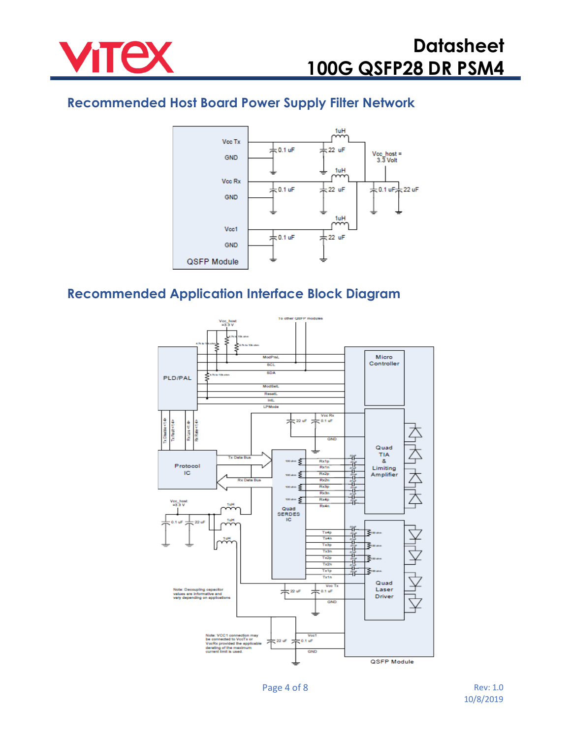

#### **Recommended Host Board Power Supply Filter Network**



#### **Recommended Application Interface Block Diagram**

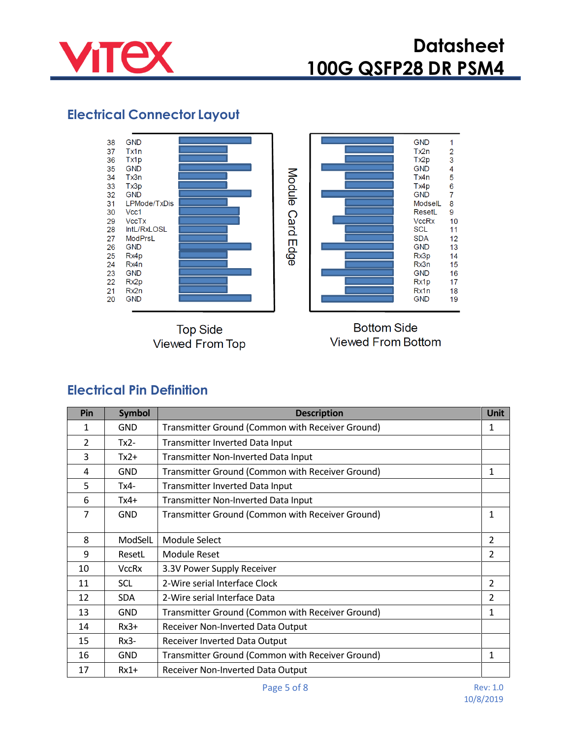

### **Electrical Connector Layout**



**Top Side Viewed From Top** 



**Bottom Side Viewed From Bottom** 

#### **Electrical Pin Definition**

| Pin           | <b>Symbol</b> | <b>Description</b>                               | <b>Unit</b>              |  |  |
|---------------|---------------|--------------------------------------------------|--------------------------|--|--|
| 1             | GND           | Transmitter Ground (Common with Receiver Ground) | 1                        |  |  |
| $\mathcal{P}$ | $Tx2-$        | <b>Transmitter Inverted Data Input</b>           |                          |  |  |
| 3             | $Tx2+$        | Transmitter Non-Inverted Data Input              |                          |  |  |
| 4             | <b>GND</b>    | Transmitter Ground (Common with Receiver Ground) | 1                        |  |  |
| 5             | Tx4-          | Transmitter Inverted Data Input                  |                          |  |  |
| 6             | $Tx4+$        | Transmitter Non-Inverted Data Input              |                          |  |  |
| 7             | <b>GND</b>    | Transmitter Ground (Common with Receiver Ground) | $\mathbf{1}$             |  |  |
| 8             | ModSelL       | Module Select                                    | $\overline{2}$           |  |  |
| 9             | ResetL        | Module Reset                                     | 2                        |  |  |
| 10            | <b>VccRx</b>  | 3.3V Power Supply Receiver                       |                          |  |  |
| 11            | <b>SCL</b>    | 2-Wire serial Interface Clock                    | $\overline{2}$           |  |  |
| 12            | <b>SDA</b>    | 2-Wire serial Interface Data                     | $\overline{\mathcal{L}}$ |  |  |
| 13            | <b>GND</b>    | Transmitter Ground (Common with Receiver Ground) | 1                        |  |  |
| 14            | $Rx3+$        | Receiver Non-Inverted Data Output                |                          |  |  |
| 15            | $Rx3-$        | Receiver Inverted Data Output                    |                          |  |  |
| 16            | <b>GND</b>    | Transmitter Ground (Common with Receiver Ground) | 1                        |  |  |
| 17            | $Rx1+$        | Receiver Non-Inverted Data Output                |                          |  |  |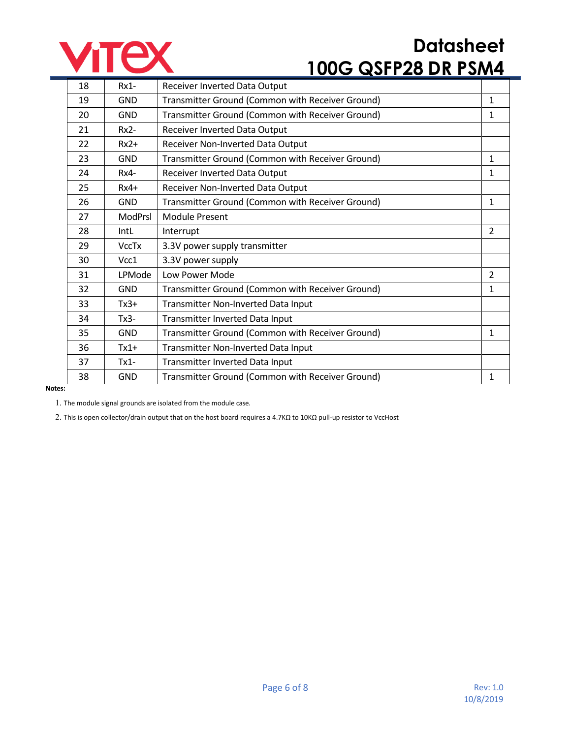

| 18 | $Rx1-$         | Receiver Inverted Data Output                    |                |
|----|----------------|--------------------------------------------------|----------------|
| 19 | <b>GND</b>     | Transmitter Ground (Common with Receiver Ground) | $\mathbf{1}$   |
| 20 | <b>GND</b>     | Transmitter Ground (Common with Receiver Ground) | 1              |
| 21 | $Rx2-$         | Receiver Inverted Data Output                    |                |
| 22 | $Rx2+$         | Receiver Non-Inverted Data Output                |                |
| 23 | <b>GND</b>     | Transmitter Ground (Common with Receiver Ground) | 1              |
| 24 | Rx4-           | Receiver Inverted Data Output                    | 1              |
| 25 | $Rx4+$         | Receiver Non-Inverted Data Output                |                |
| 26 | <b>GND</b>     | Transmitter Ground (Common with Receiver Ground) | $\mathbf{1}$   |
| 27 | <b>ModPrsl</b> | <b>Module Present</b>                            |                |
| 28 | IntL           | Interrupt                                        | $\overline{2}$ |
| 29 | <b>VccTx</b>   | 3.3V power supply transmitter                    |                |
| 30 | Vcc1           | 3.3V power supply                                |                |
| 31 | LPMode         | Low Power Mode                                   | $\overline{2}$ |
| 32 | <b>GND</b>     | Transmitter Ground (Common with Receiver Ground) | 1              |
| 33 | $Tx3+$         | Transmitter Non-Inverted Data Input              |                |
| 34 | $Tx3-$         | Transmitter Inverted Data Input                  |                |
| 35 | <b>GND</b>     | Transmitter Ground (Common with Receiver Ground) | 1              |
| 36 | $Tx1+$         | Transmitter Non-Inverted Data Input              |                |
| 37 | $Tx1-$         | Transmitter Inverted Data Input                  |                |
| 38 | <b>GND</b>     | Transmitter Ground (Common with Receiver Ground) | 1              |

#### **Notes:**

1. The module signal grounds are isolated from the module case.

2. This is open collector/drain output that on the host board requires a 4.7KΩ to 10KΩ pull-up resistor to VccHost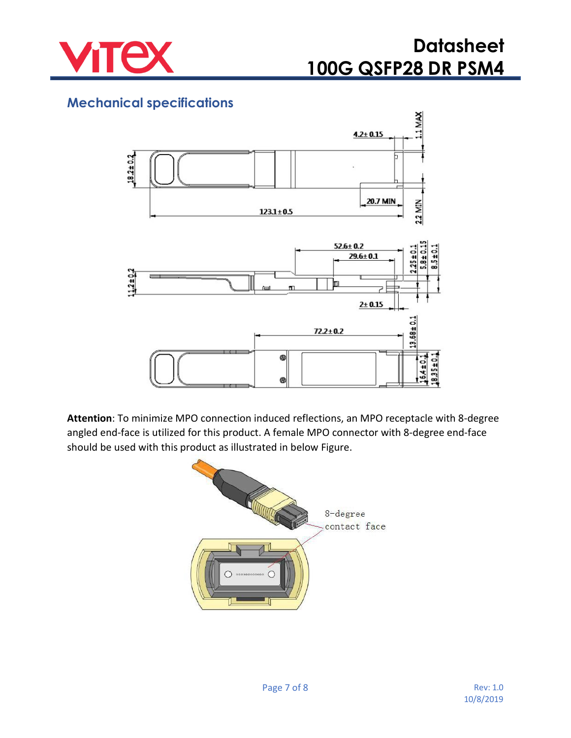

#### **Mechanical specifications**



**Attention**: To minimize MPO connection induced reflections, an MPO receptacle with 8-degree angled end-face is utilized for this product. A female MPO connector with 8-degree end-face should be used with this product as illustrated in below Figure.